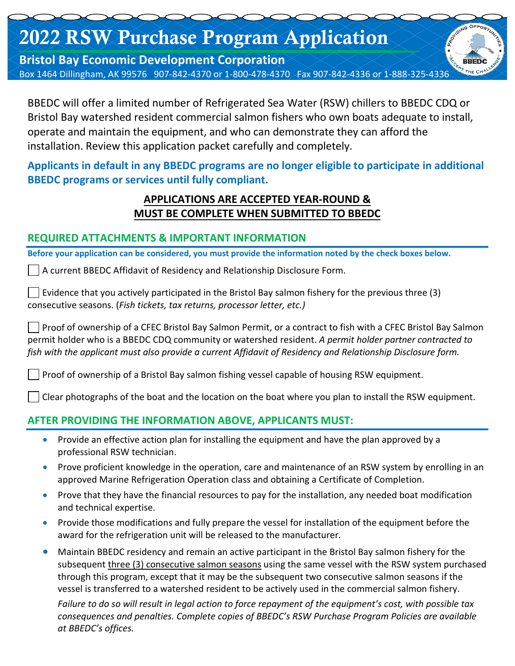# 2022 RSW Purchase Program Application

**Bristol Bay Economic Development Corporation**  Box 1464 Dillingham, AK 99576 907-842-4370 or 1-800-478-4370 Fax 907-842-4336 or 1-888-325-4336

BBEDC will offer a limited number of Refrigerated Sea Water (RSW) chillers to BBEDC CDQ or Bristol Bay watershed resident commercial salmon fishers who own boats adequate to install, operate and maintain the equipment, and who can demonstrate they can afford the installation. Review this application packet carefully and completely.

**Applicants in default in any BBEDC programs are no longer eligible to participate in additional BBEDC programs or services until fully compliant.**

## **APPLICATIONS ARE ACCEPTED YEAR-ROUND & MUST BE COMPLETE WHEN SUBMITTED TO BBEDC**

#### **REQUIRED ATTACHMENTS & IMPORTANT INFORMATION**

**Before your application can be considered, you must provide the information noted by the check boxes below.**

A current BBEDC Affidavit of Residency and Relationship Disclosure Form.

Evidence that you actively participated in the Bristol Bay salmon fishery for the previous three (3) consecutive seasons. (*Fish tickets, tax returns, processor letter, etc.)*

Proof of ownership of a CFEC Bristol Bay Salmon Permit, or a contract to fish with a CFEC Bristol Bay Salmon permit holder who is a BBEDC CDQ community or watershed resident. *A permit holder partner contracted to fish with the applicant must also provide a current Affidavit of Residency and Relationship Disclosure form.*

Proof of ownership of a Bristol Bay salmon fishing vessel capable of housing RSW equipment.

Clear photographs of the boat and the location on the boat where you plan to install the RSW equipment.

## **AFTER PROVIDING THE INFORMATION ABOVE, APPLICANTS MUST:**

- Provide an effective action plan for installing the equipment and have the plan approved by a professional RSW technician.
- Prove proficient knowledge in the operation, care and maintenance of an RSW system by enrolling in an approved Marine Refrigeration Operation class and obtaining a Certificate of Completion.
- Prove that they have the financial resources to pay for the installation, any needed boat modification and technical expertise.
- Provide those modifications and fully prepare the vessel for installation of the equipment before the award for the refrigeration unit will be released to the manufacturer.
- Maintain BBEDC residency and remain an active participant in the Bristol Bay salmon fishery for the subsequent three (3) consecutive salmon seasons using the same vessel with the RSW system purchased through this program, except that it may be the subsequent two consecutive salmon seasons if the vessel is transferred to a watershed resident to be actively used in the commercial salmon fishery.

*Failure to do so will result in legal action to force repayment of the equipment's cost, with possible tax consequences and penalties. Complete copies of BBEDC's RSW Purchase Program Policies are available at BBEDC's offices.*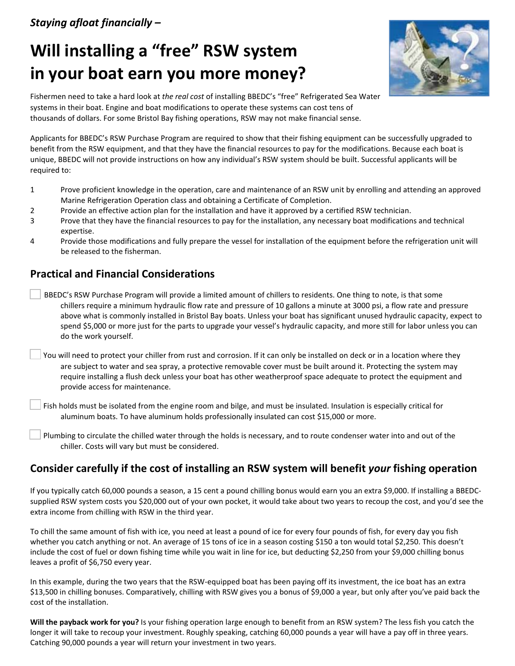## *Staying afloat financially –*

## **Will installing a "free" RSW system in your boat earn you more money?**



Fishermen need to take a hard look at *the real cost* of installing BBEDC's "free" Refrigerated Sea Water systems in their boat. Engine and boat modifications to operate these systems can cost tens of thousands of dollars. For some Bristol Bay fishing operations, RSW may not make financial sense.

Applicants for BBEDC's RSW Purchase Program are required to show that their fishing equipment can be successfully upgraded to benefit from the RSW equipment, and that they have the financial resources to pay for the modifications. Because each boat is unique, BBEDC will not provide instructions on how any individual's RSW system should be built. Successful applicants will be required to:

- 1 Prove proficient knowledge in the operation, care and maintenance of an RSW unit by enrolling and attending an approved Marine Refrigeration Operation class and obtaining a Certificate of Completion.
- 2 Provide an effective action plan for the installation and have it approved by a certified RSW technician.
- 3 Prove that they have the financial resources to pay for the installation, any necessary boat modifications and technical expertise.
- 4 Provide those modifications and fully prepare the vessel for installation of the equipment before the refrigeration unit will be released to the fisherman.

## **Practical and Financial Considerations**

- BBEDC's RSW Purchase Program will provide a limited amount of chillers to residents. One thing to note, is that some chillers require a minimum hydraulic flow rate and pressure of 10 gallons a minute at 3000 psi, a flow rate and pressure above what is commonly installed in Bristol Bay boats. Unless your boat has significant unused hydraulic capacity, expect to spend \$5,000 or more just for the parts to upgrade your vessel's hydraulic capacity, and more still for labor unless you can do the work yourself.
- You will need to protect your chiller from rust and corrosion. If it can only be installed on deck or in a location where they are subject to water and sea spray, a protective removable cover must be built around it. Protecting the system may require installing a flush deck unless your boat has other weatherproof space adequate to protect the equipment and provide access for maintenance.

Fish holds must be isolated from the engine room and bilge, and must be insulated. Insulation is especially critical for aluminum boats. To have aluminum holds professionally insulated can cost \$15,000 or more.

Plumbing to circulate the chilled water through the holds is necessary, and to route condenser water into and out of the chiller. Costs will vary but must be considered.

## **Consider carefully if the cost of installing an RSW system will benefit** *your* **fishing operation**

If you typically catch 60,000 pounds a season, a 15 cent a pound chilling bonus would earn you an extra \$9,000. If installing a BBEDCsupplied RSW system costs you \$20,000 out of your own pocket, it would take about two years to recoup the cost, and you'd see the extra income from chilling with RSW in the third year.

To chill the same amount of fish with ice, you need at least a pound of ice for every four pounds of fish, for every day you fish whether you catch anything or not. An average of 15 tons of ice in a season costing \$150 a ton would total \$2,250. This doesn't include the cost of fuel or down fishing time while you wait in line for ice, but deducting \$2,250 from your \$9,000 chilling bonus leaves a profit of \$6,750 every year.

In this example, during the two years that the RSW-equipped boat has been paying off its investment, the ice boat has an extra \$13,500 in chilling bonuses. Comparatively, chilling with RSW gives you a bonus of \$9,000 a year, but only after you've paid back the cost of the installation.

**Will the payback work for you?** Is your fishing operation large enough to benefit from an RSW system? The less fish you catch the longer it will take to recoup your investment. Roughly speaking, catching 60,000 pounds a year will have a pay off in three years. Catching 90,000 pounds a year will return your investment in two years.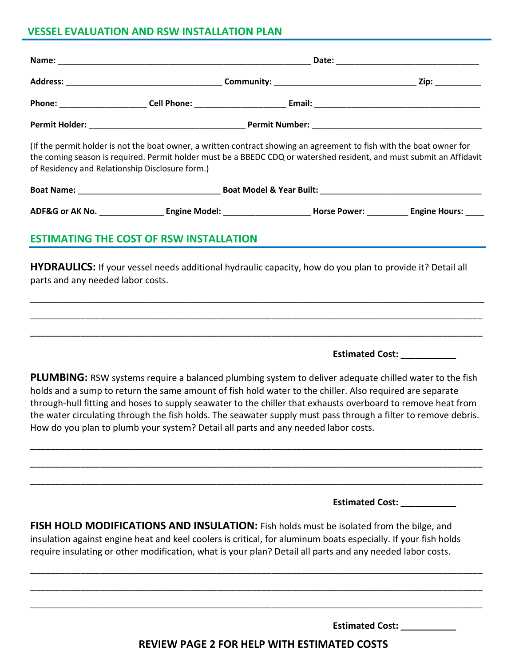## **VESSEL EVALUATION AND RSW INSTALLATION PLAN**

| of Residency and Relationship Disclosure form.) | (If the permit holder is not the boat owner, a written contract showing an agreement to fish with the boat owner for<br>the coming season is required. Permit holder must be a BBEDC CDQ or watershed resident, and must submit an Affidavit |  |  |  |
|-------------------------------------------------|----------------------------------------------------------------------------------------------------------------------------------------------------------------------------------------------------------------------------------------------|--|--|--|
|                                                 |                                                                                                                                                                                                                                              |  |  |  |
|                                                 |                                                                                                                                                                                                                                              |  |  |  |
|                                                 | <b>ESTIMATING THE COST OF RSW INSTALLATION</b>                                                                                                                                                                                               |  |  |  |
| parts and any needed labor costs.               | HYDRAULICS: If your vessel needs additional hydraulic capacity, how do you plan to provide it? Detail all                                                                                                                                    |  |  |  |
|                                                 |                                                                                                                                                                                                                                              |  |  |  |
|                                                 |                                                                                                                                                                                                                                              |  |  |  |
|                                                 |                                                                                                                                                                                                                                              |  |  |  |

**Estimated Cost: \_\_\_\_\_\_\_\_\_\_\_**

**PLUMBING:** RSW systems require a balanced plumbing system to deliver adequate chilled water to the fish holds and a sump to return the same amount of fish hold water to the chiller. Also required are separate through-hull fitting and hoses to supply seawater to the chiller that exhausts overboard to remove heat from the water circulating through the fish holds. The seawater supply must pass through a filter to remove debris. How do you plan to plumb your system? Detail all parts and any needed labor costs.

\_\_\_\_\_\_\_\_\_\_\_\_\_\_\_\_\_\_\_\_\_\_\_\_\_\_\_\_\_\_\_\_\_\_\_\_\_\_\_\_\_\_\_\_\_\_\_\_\_\_\_\_\_\_\_\_\_\_\_\_\_\_\_\_\_\_\_\_\_\_\_\_\_\_\_\_\_\_\_\_\_\_\_\_\_\_\_\_\_\_

\_\_\_\_\_\_\_\_\_\_\_\_\_\_\_\_\_\_\_\_\_\_\_\_\_\_\_\_\_\_\_\_\_\_\_\_\_\_\_\_\_\_\_\_\_\_\_\_\_\_\_\_\_\_\_\_\_\_\_\_\_\_\_\_\_\_\_\_\_\_\_\_\_\_\_\_\_\_\_\_\_\_\_\_\_\_\_\_\_\_

\_\_\_\_\_\_\_\_\_\_\_\_\_\_\_\_\_\_\_\_\_\_\_\_\_\_\_\_\_\_\_\_\_\_\_\_\_\_\_\_\_\_\_\_\_\_\_\_\_\_\_\_\_\_\_\_\_\_\_\_\_\_\_\_\_\_\_\_\_\_\_\_\_\_\_\_\_\_\_\_\_\_\_\_\_\_\_\_\_\_

**Estimated Cost: \_\_\_\_\_\_\_\_\_\_\_**

**FISH HOLD MODIFICATIONS AND INSULATION:** Fish holds must be isolated from the bilge, and insulation against engine heat and keel coolers is critical, for aluminum boats especially. If your fish holds require insulating or other modification, what is your plan? Detail all parts and any needed labor costs.

\_\_\_\_\_\_\_\_\_\_\_\_\_\_\_\_\_\_\_\_\_\_\_\_\_\_\_\_\_\_\_\_\_\_\_\_\_\_\_\_\_\_\_\_\_\_\_\_\_\_\_\_\_\_\_\_\_\_\_\_\_\_\_\_\_\_\_\_\_\_\_\_\_\_\_\_\_\_\_\_\_\_\_\_\_\_\_\_\_\_

\_\_\_\_\_\_\_\_\_\_\_\_\_\_\_\_\_\_\_\_\_\_\_\_\_\_\_\_\_\_\_\_\_\_\_\_\_\_\_\_\_\_\_\_\_\_\_\_\_\_\_\_\_\_\_\_\_\_\_\_\_\_\_\_\_\_\_\_\_\_\_\_\_\_\_\_\_\_\_\_\_\_\_\_\_\_\_\_\_\_

\_\_\_\_\_\_\_\_\_\_\_\_\_\_\_\_\_\_\_\_\_\_\_\_\_\_\_\_\_\_\_\_\_\_\_\_\_\_\_\_\_\_\_\_\_\_\_\_\_\_\_\_\_\_\_\_\_\_\_\_\_\_\_\_\_\_\_\_\_\_\_\_\_\_\_\_\_\_\_\_\_\_\_\_\_\_\_\_\_\_

**Estimated Cost:** 

**REVIEW PAGE 2 FOR HELP WITH ESTIMATED COSTS**